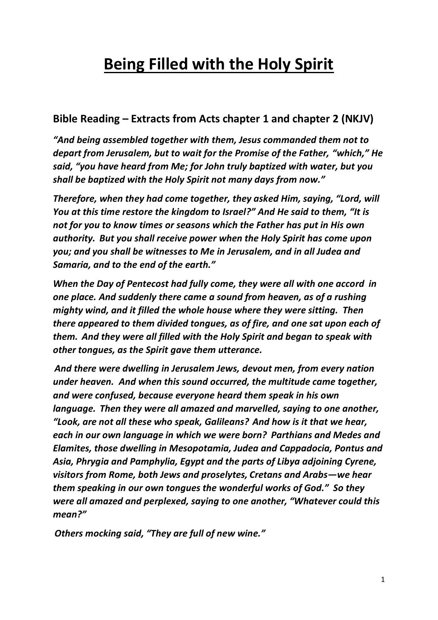# **Being Filled with the Holy Spirit**

## **Bible Reading – Extracts from Acts chapter 1 and chapter 2 (NKJV)**

*"And being assembled together with them, Jesus commanded them not to depart from Jerusalem, but to wait for the Promise of the Father, "which," He said, "you have heard from Me; for John truly baptized with water, but you shall be baptized with the Holy Spirit not many days from now."*

*Therefore, when they had come together, they asked Him, saying, "Lord, will You at this time restore the kingdom to Israel?" And He said to them, "It is not for you to know times or seasons which the Father has put in His own authority. But you shall receive power when the Holy Spirit has come upon you; and you shall be witnesses to Me in Jerusalem, and in all Judea and Samaria, and to the end of the earth."*

*When the Day of Pentecost had fully come, they were all with one accord in one place. And suddenly there came a sound from heaven, as of a rushing mighty wind, and it filled the whole house where they were sitting. Then there appeared to them divided tongues, as of fire, and one sat upon each of them. And they were all filled with the Holy Spirit and began to speak with other tongues, as the Spirit gave them utterance.*

*And there were dwelling in Jerusalem Jews, devout men, from every nation under heaven. And when this sound occurred, the multitude came together, and were confused, because everyone heard them speak in his own language. Then they were all amazed and marvelled, saying to one another, "Look, are not all these who speak, Galileans? And how is it that we hear, each in our own language in which we were born? Parthians and Medes and Elamites, those dwelling in Mesopotamia, Judea and Cappadocia, Pontus and Asia, Phrygia and Pamphylia, Egypt and the parts of Libya adjoining Cyrene, visitors from Rome, both Jews and proselytes, Cretans and Arabs—we hear them speaking in our own tongues the wonderful works of God." So they were all amazed and perplexed, saying to one another, "Whatever could this mean?"*

*Others mocking said, "They are full of new wine."*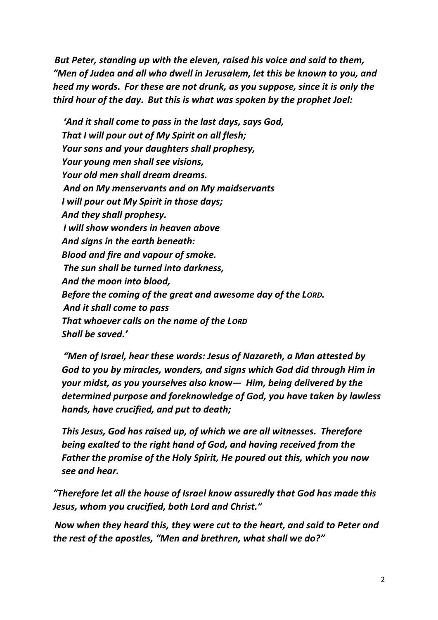*But Peter, standing up with the eleven, raised his voice and said to them, "Men of Judea and all who dwell in Jerusalem, let this be known to you, and heed my words. For these are not drunk, as you suppose, since it is only the third hour of the day. But this is what was spoken by the prophet Joel:*

*'And it shall come to pass in the last days, says God, That I will pour out of My Spirit on all flesh; Your sons and your daughters shall prophesy, Your young men shall see visions, Your old men shall dream dreams. And on My menservants and on My maidservants I will pour out My Spirit in those days; And they shall prophesy. I will show wonders in heaven above And signs in the earth beneath: Blood and fire and vapour of smoke. The sun shall be turned into darkness, And the moon into blood, Before the coming of the great and awesome day of the LORD. And it shall come to pass That whoever calls on the name of the LORD Shall be saved.'*

*"Men of Israel, hear these words: Jesus of Nazareth, a Man attested by God to you by miracles, wonders, and signs which God did through Him in your midst, as you yourselves also know— Him, being delivered by the determined purpose and foreknowledge of God, you have taken by lawless hands, have crucified, and put to death;*

*This Jesus, God has raised up, of which we are all witnesses. Therefore being exalted to the right hand of God, and having received from the Father the promise of the Holy Spirit, He poured out this, which you now see and hear.*

*"Therefore let all the house of Israel know assuredly that God has made this Jesus, whom you crucified, both Lord and Christ."*

*Now when they heard this, they were cut to the heart, and said to Peter and the rest of the apostles, "Men and brethren, what shall we do?"*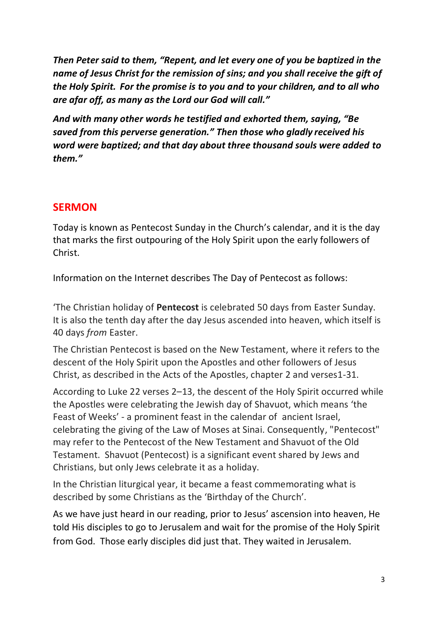*Then Peter said to them, "Repent, and let every one of you be baptized in the name of Jesus Christ for the remission of sins; and you shall receive the gift of the Holy Spirit. For the promise is to you and to your children, and to all who are afar off, as many as the Lord our God will call."*

*And with many other words he testified and exhorted them, saying, "Be saved from this perverse generation." Then those who gladly received his word were baptized; and that day about three thousand souls were added to them."*

#### **SERMON**

Today is known as Pentecost Sunday in the Church's calendar, and it is the day that marks the first outpouring of the Holy Spirit upon the early followers of Christ.

Information on the Internet describes The Day of Pentecost as follows:

'The Christian holiday of **Pentecost** is celebrated 50 days from Easter Sunday. It is also the tenth day after the day Jesus ascended into heaven, which itself is 40 days *from* Easter.

The Christian Pentecost is based on the New Testament, where it refers to the descent of the Holy Spirit upon the Apostles and other followers of Jesus Christ, as described in the Acts of the Apostles, chapter 2 and verses1-31.

According to Luke 22 verses 2–13, the descent of the Holy Spirit occurred while the Apostles were celebrating the Jewish day of Shavuot, which means 'the Feast of Weeks' - a prominent feast in the calendar of ancient Israel, celebrating the giving of the Law of Moses at Sinai. Consequently, "Pentecost" may refer to the Pentecost of the New Testament and Shavuot of the Old Testament. Shavuot (Pentecost) is a significant event shared by Jews and Christians, but only Jews celebrate it as a holiday.

In the Christian liturgical year, it became a feast commemorating what is described by some Christians as the 'Birthday of the Church'.

As we have just heard in our reading, prior to Jesus' ascension into heaven, He told His disciples to go to Jerusalem and wait for the promise of the Holy Spirit from God. Those early disciples did just that. They waited in Jerusalem.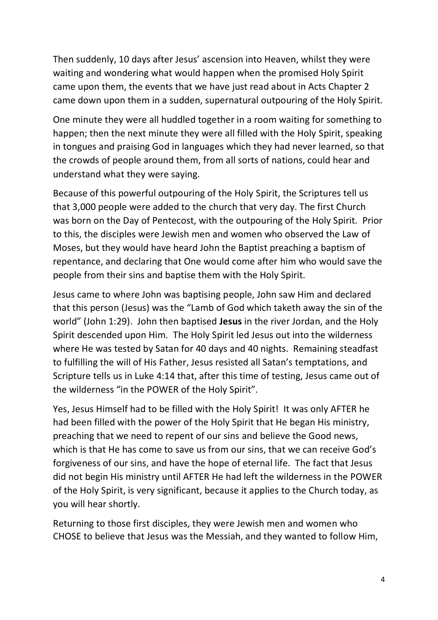Then suddenly, 10 days after Jesus' ascension into Heaven, whilst they were waiting and wondering what would happen when the promised Holy Spirit came upon them, the events that we have just read about in Acts Chapter 2 came down upon them in a sudden, supernatural outpouring of the Holy Spirit.

One minute they were all huddled together in a room waiting for something to happen; then the next minute they were all filled with the Holy Spirit, speaking in tongues and praising God in languages which they had never learned, so that the crowds of people around them, from all sorts of nations, could hear and understand what they were saying.

Because of this powerful outpouring of the Holy Spirit, the Scriptures tell us that 3,000 people were added to the church that very day. The first Church was born on the Day of Pentecost, with the outpouring of the Holy Spirit. Prior to this, the disciples were Jewish men and women who observed the Law of Moses, but they would have heard John the Baptist preaching a baptism of repentance, and declaring that One would come after him who would save the people from their sins and baptise them with the Holy Spirit.

Jesus came to where John was baptising people, John saw Him and declared that this person (Jesus) was the "Lamb of God which taketh away the sin of the world" (John 1:29). John then baptised **Jesus** in the river Jordan, and the Holy Spirit descended upon Him. The Holy Spirit led Jesus out into the wilderness where He was tested by Satan for 40 days and 40 nights. Remaining steadfast to fulfilling the will of His Father, Jesus resisted all Satan's temptations, and Scripture tells us in Luke 4:14 that, after this time of testing, Jesus came out of the wilderness "in the POWER of the Holy Spirit".

Yes, Jesus Himself had to be filled with the Holy Spirit! It was only AFTER he had been filled with the power of the Holy Spirit that He began His ministry, preaching that we need to repent of our sins and believe the Good news, which is that He has come to save us from our sins, that we can receive God's forgiveness of our sins, and have the hope of eternal life. The fact that Jesus did not begin His ministry until AFTER He had left the wilderness in the POWER of the Holy Spirit, is very significant, because it applies to the Church today, as you will hear shortly.

Returning to those first disciples, they were Jewish men and women who CHOSE to believe that Jesus was the Messiah, and they wanted to follow Him,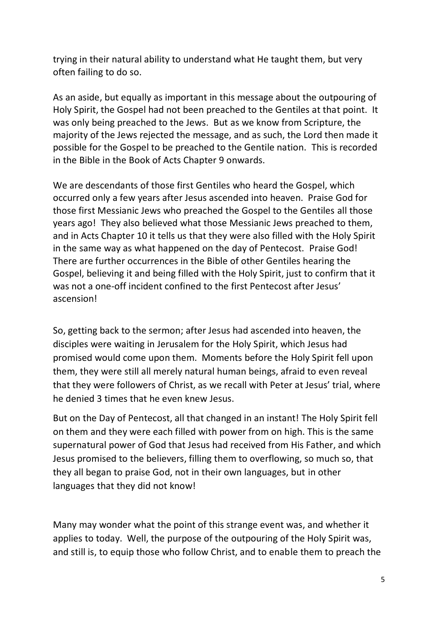trying in their natural ability to understand what He taught them, but very often failing to do so.

As an aside, but equally as important in this message about the outpouring of Holy Spirit, the Gospel had not been preached to the Gentiles at that point. It was only being preached to the Jews. But as we know from Scripture, the majority of the Jews rejected the message, and as such, the Lord then made it possible for the Gospel to be preached to the Gentile nation. This is recorded in the Bible in the Book of Acts Chapter 9 onwards.

We are descendants of those first Gentiles who heard the Gospel, which occurred only a few years after Jesus ascended into heaven. Praise God for those first Messianic Jews who preached the Gospel to the Gentiles all those years ago! They also believed what those Messianic Jews preached to them, and in Acts Chapter 10 it tells us that they were also filled with the Holy Spirit in the same way as what happened on the day of Pentecost. Praise God! There are further occurrences in the Bible of other Gentiles hearing the Gospel, believing it and being filled with the Holy Spirit, just to confirm that it was not a one-off incident confined to the first Pentecost after Jesus' ascension!

So, getting back to the sermon; after Jesus had ascended into heaven, the disciples were waiting in Jerusalem for the Holy Spirit, which Jesus had promised would come upon them. Moments before the Holy Spirit fell upon them, they were still all merely natural human beings, afraid to even reveal that they were followers of Christ, as we recall with Peter at Jesus' trial, where he denied 3 times that he even knew Jesus.

But on the Day of Pentecost, all that changed in an instant! The Holy Spirit fell on them and they were each filled with power from on high. This is the same supernatural power of God that Jesus had received from His Father, and which Jesus promised to the believers, filling them to overflowing, so much so, that they all began to praise God, not in their own languages, but in other languages that they did not know!

Many may wonder what the point of this strange event was, and whether it applies to today. Well, the purpose of the outpouring of the Holy Spirit was, and still is, to equip those who follow Christ, and to enable them to preach the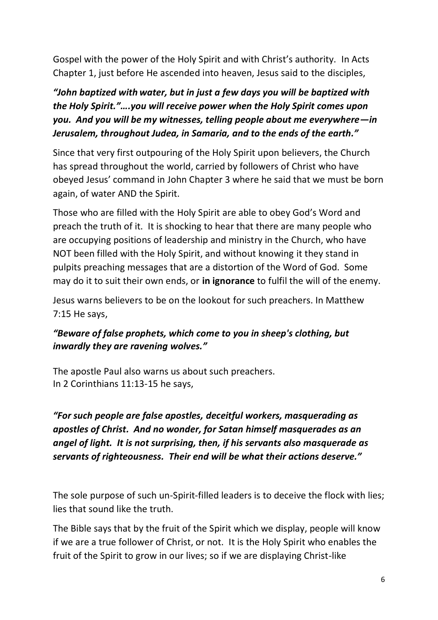Gospel with the power of the Holy Spirit and with Christ's authority. In Acts Chapter 1, just before He ascended into heaven, Jesus said to the disciples,

*"John baptized with water, but in just a few days you will be baptized with the Holy Spirit."….you will receive power when the Holy Spirit comes upon you. And you will be my witnesses, telling people about me everywhere—in Jerusalem, throughout Judea, in Samaria, and to the ends of the earth."*

Since that very first outpouring of the Holy Spirit upon believers, the Church has spread throughout the world, carried by followers of Christ who have obeyed Jesus' command in John Chapter 3 where he said that we must be born again, of water AND the Spirit.

Those who are filled with the Holy Spirit are able to obey God's Word and preach the truth of it. It is shocking to hear that there are many people who are occupying positions of leadership and ministry in the Church, who have NOT been filled with the Holy Spirit, and without knowing it they stand in pulpits preaching messages that are a distortion of the Word of God. Some may do it to suit their own ends, or **in ignorance** to fulfil the will of the enemy.

Jesus warns believers to be on the lookout for such preachers. In Matthew 7:15 He says,

#### *"Beware of false prophets, which come to you in sheep's clothing, but inwardly they are ravening wolves."*

The apostle Paul also warns us about such preachers. In 2 Corinthians 11:13-15 he says,

*"For such people are false apostles, deceitful workers, masquerading as apostles of Christ. And no wonder, for Satan himself masquerades as an angel of light. It is not surprising, then, if his servants also masquerade as servants of righteousness. Their end will be what their actions deserve."*

The sole purpose of such un-Spirit-filled leaders is to deceive the flock with lies; lies that sound like the truth.

The Bible says that by the fruit of the Spirit which we display, people will know if we are a true follower of Christ, or not. It is the Holy Spirit who enables the fruit of the Spirit to grow in our lives; so if we are displaying Christ-like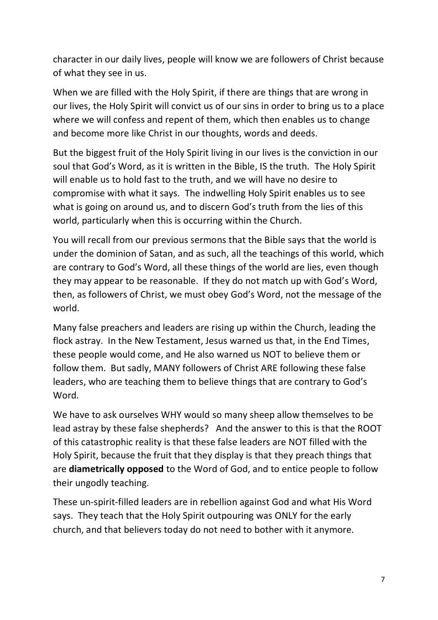character in our daily lives, people will know we are followers of Christ because of what they see in us.

When we are filled with the Holy Spirit, if there are things that are wrong in our lives, the Holy Spirit will convict us of our sins in order to bring us to a place where we will confess and repent of them, which then enables us to change and become more like Christ in our thoughts, words and deeds.

But the biggest fruit of the Holy Spirit living in our lives is the conviction in our soul that God's Word, as it is written in the Bible, IS the truth. The Holy Spirit will enable us to hold fast to the truth, and we will have no desire to compromise with what it says. The indwelling Holy Spirit enables us to see what is going on around us, and to discern God's truth from the lies of this world, particularly when this is occurring within the Church.

You will recall from our previous sermons that the Bible says that the world is under the dominion of Satan, and as such, all the teachings of this world, which are contrary to God's Word, all these things of the world are lies, even though they may appear to be reasonable. If they do not match up with God's Word, then, as followers of Christ, we must obey God's Word, not the message of the world.

Many false preachers and leaders are rising up within the Church, leading the flock astray. In the New Testament, Jesus warned us that, in the End Times, these people would come, and He also warned us NOT to believe them or follow them. But sadly, MANY followers of Christ ARE following these false leaders, who are teaching them to believe things that are contrary to God's Word.

We have to ask ourselves WHY would so many sheep allow themselves to be lead astray by these false shepherds? And the answer to this is that the ROOT of this catastrophic reality is that these false leaders are NOT filled with the Holy Spirit, because the fruit that they display is that they preach things that are **diametrically opposed** to the Word of God, and to entice people to follow their ungodly teaching.

These un-spirit-filled leaders are in rebellion against God and what His Word says. They teach that the Holy Spirit outpouring was ONLY for the early church, and that believers today do not need to bother with it anymore.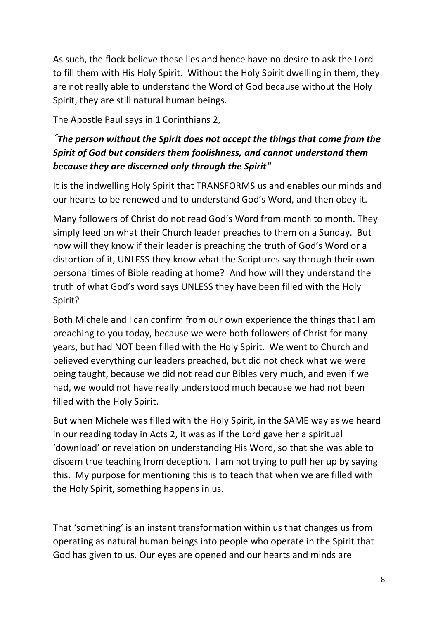As such, the flock believe these lies and hence have no desire to ask the Lord to fill them with His Holy Spirit. Without the Holy Spirit dwelling in them, they are not really able to understand the Word of God because without the Holy Spirit, they are still natural human beings.

The Apostle Paul says in 1 Corinthians 2,

### *"The person without the Spirit does not accept the things that come from the Spirit of God but considers them foolishness, and cannot understand them because they are discerned only through the Spirit"*

It is the indwelling Holy Spirit that TRANSFORMS us and enables our minds and our hearts to be renewed and to understand God's Word, and then obey it.

Many followers of Christ do not read God's Word from month to month. They simply feed on what their Church leader preaches to them on a Sunday. But how will they know if their leader is preaching the truth of God's Word or a distortion of it, UNLESS they know what the Scriptures say through their own personal times of Bible reading at home? And how will they understand the truth of what God's word says UNLESS they have been filled with the Holy Spirit?

Both Michele and I can confirm from our own experience the things that I am preaching to you today, because we were both followers of Christ for many years, but had NOT been filled with the Holy Spirit. We went to Church and believed everything our leaders preached, but did not check what we were being taught, because we did not read our Bibles very much, and even if we had, we would not have really understood much because we had not been filled with the Holy Spirit.

But when Michele was filled with the Holy Spirit, in the SAME way as we heard in our reading today in Acts 2, it was as if the Lord gave her a spiritual 'download' or revelation on understanding His Word, so that she was able to discern true teaching from deception. I am not trying to puff her up by saying this. My purpose for mentioning this is to teach that when we are filled with the Holy Spirit, something happens in us.

That 'something' is an instant transformation within us that changes us from operating as natural human beings into people who operate in the Spirit that God has given to us. Our eyes are opened and our hearts and minds are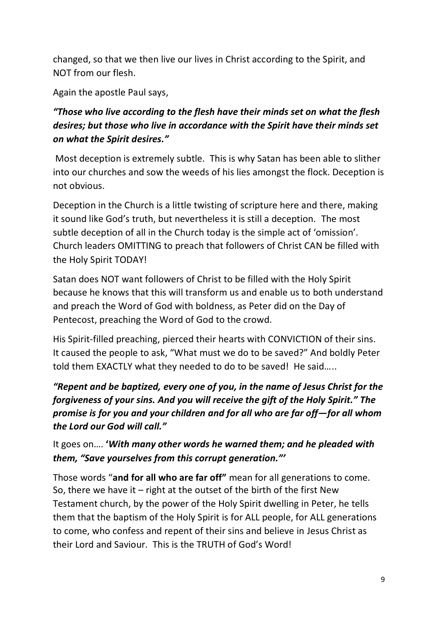changed, so that we then live our lives in Christ according to the Spirit, and NOT from our flesh.

Again the apostle Paul says,

## *"Those who live according to the flesh have their minds set on what the flesh desires; but those who live in accordance with the Spirit have their minds set on what the Spirit desires."*

Most deception is extremely subtle. This is why Satan has been able to slither into our churches and sow the weeds of his lies amongst the flock. Deception is not obvious.

Deception in the Church is a little twisting of scripture here and there, making it sound like God's truth, but nevertheless it is still a deception. The most subtle deception of all in the Church today is the simple act of 'omission'. Church leaders OMITTING to preach that followers of Christ CAN be filled with the Holy Spirit TODAY!

Satan does NOT want followers of Christ to be filled with the Holy Spirit because he knows that this will transform us and enable us to both understand and preach the Word of God with boldness, as Peter did on the Day of Pentecost, preaching the Word of God to the crowd.

His Spirit-filled preaching, pierced their hearts with CONVICTION of their sins. It caused the people to ask, "What must we do to be saved?" And boldly Peter told them EXACTLY what they needed to do to be saved! He said…..

## *"Repent and be baptized, every one of you, in the name of Jesus Christ for the forgiveness of your sins. And you will receive the gift of the Holy Spirit." The promise is for you and your children and for all who are far off—for all whom the Lord our God will call."*

It goes on…. **'***With many other words he warned them; and he pleaded with them, "Save yourselves from this corrupt generation."'*

Those words "**and for all who are far off"** mean for all generations to come. So, there we have it  $-$  right at the outset of the birth of the first New Testament church, by the power of the Holy Spirit dwelling in Peter, he tells them that the baptism of the Holy Spirit is for ALL people, for ALL generations to come, who confess and repent of their sins and believe in Jesus Christ as their Lord and Saviour. This is the TRUTH of God's Word!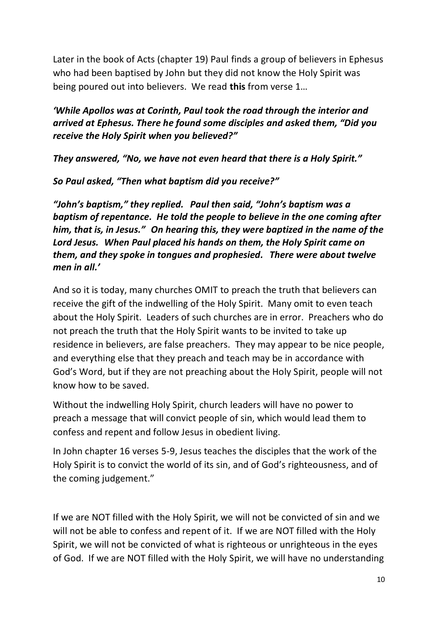Later in the book of Acts (chapter 19) Paul finds a group of believers in Ephesus who had been baptised by John but they did not know the Holy Spirit was being poured out into believers. We read **this** from verse 1…

*'While Apollos was at Corinth, Paul took the road through the interior and arrived at Ephesus. There he found some disciples and asked them, "Did you receive the Holy Spirit when you believed?"*

*They answered, "No, we have not even heard that there is a Holy Spirit."*

*So Paul asked, "Then what baptism did you receive?"*

*"John's baptism," they replied. Paul then said, "John's baptism was a baptism of repentance. He told the people to believe in the one coming after him, that is, in Jesus." On hearing this, they were baptized in the name of the Lord Jesus. When Paul placed his hands on them, the Holy Spirit came on them, and they spoke in tongues and prophesied. There were about twelve men in all.'*

And so it is today, many churches OMIT to preach the truth that believers can receive the gift of the indwelling of the Holy Spirit. Many omit to even teach about the Holy Spirit. Leaders of such churches are in error. Preachers who do not preach the truth that the Holy Spirit wants to be invited to take up residence in believers, are false preachers. They may appear to be nice people, and everything else that they preach and teach may be in accordance with God's Word, but if they are not preaching about the Holy Spirit, people will not know how to be saved.

Without the indwelling Holy Spirit, church leaders will have no power to preach a message that will convict people of sin, which would lead them to confess and repent and follow Jesus in obedient living.

In John chapter 16 verses 5-9, Jesus teaches the disciples that the work of the Holy Spirit is to convict the world of its sin, and of God's righteousness, and of the coming judgement."

If we are NOT filled with the Holy Spirit, we will not be convicted of sin and we will not be able to confess and repent of it. If we are NOT filled with the Holy Spirit, we will not be convicted of what is righteous or unrighteous in the eyes of God. If we are NOT filled with the Holy Spirit, we will have no understanding